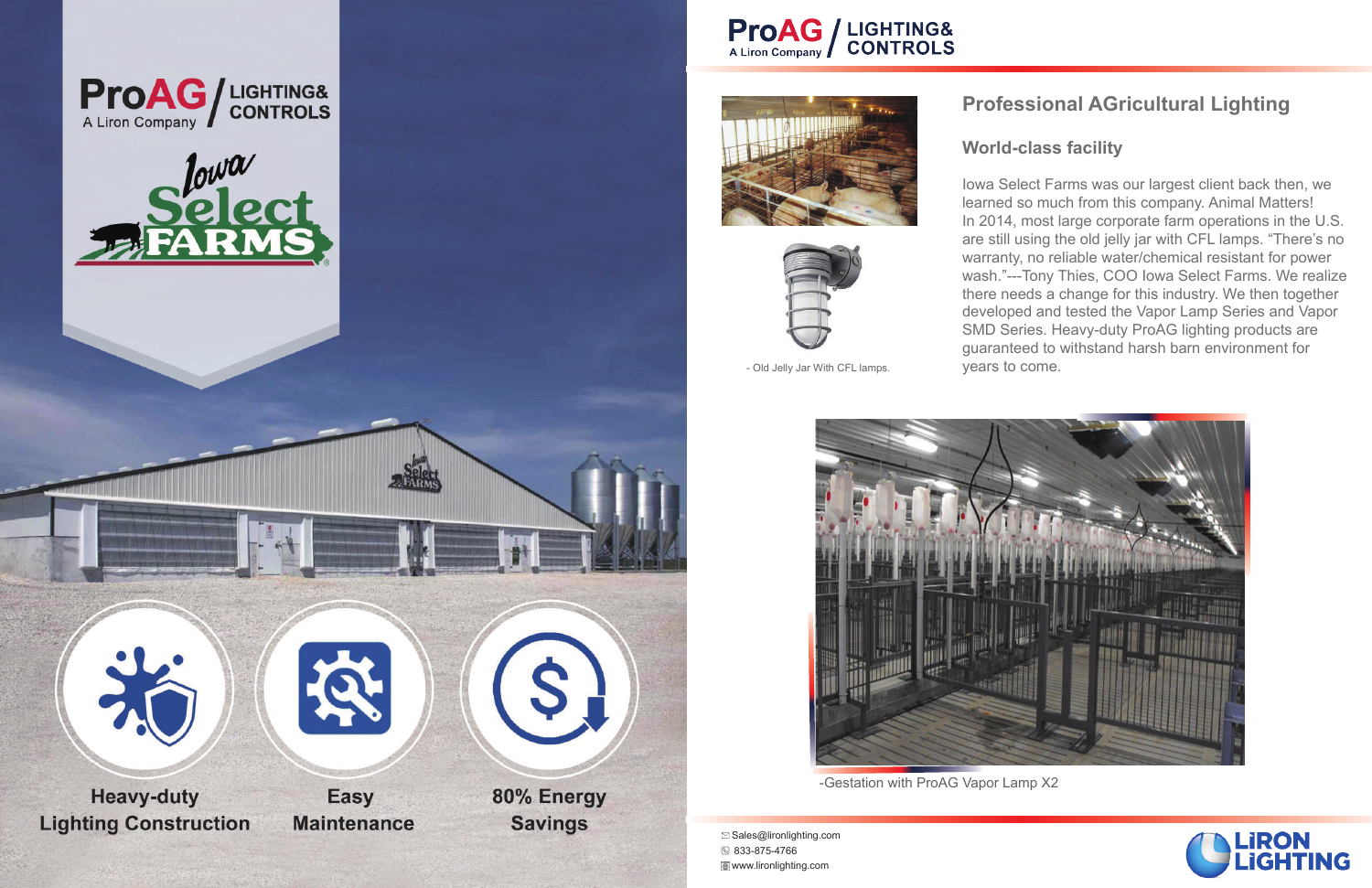### **Professional AGricultural Lighting**

#### **World-class facility**

Iowa Select Farms was our largest client back then, we learned so much from this company. Animal Matters! In 2014, most large corporate farm operations in the U.S. are still using the old jelly jar with CFL lamps. "There's no warranty, no reliable water/chemical resistant for power wash."---Tony Thies, COO Iowa Select Farms. We realize there needs a change for this industry. We then together developed and tested the Vapor Lamp Series and Vapor SMD Series. Heavy-duty ProAG lighting products are guaranteed to withstand harsh barn environment for years to come.







Sales@lironlighting.com 833-875-4766 www.lironlighting.com